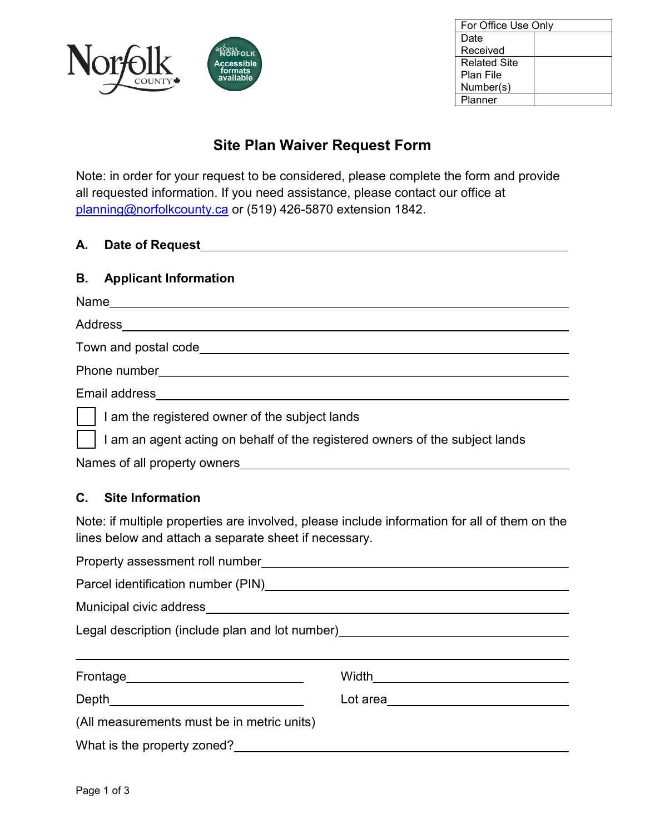

| For Office Use Only |  |
|---------------------|--|
| Date                |  |
| Received            |  |
| <b>Related Site</b> |  |
| Plan File           |  |
| Number(s)           |  |
| Planner             |  |

# **Site Plan Waiver Request Form**

Note: in order for your request to be considered, please complete the form and provide all requested information. If you need assistance, please contact our office at [planning@norfolkcounty.ca](mailto:planning@norfolkcounty.ca) or (519) 426-5870 extension 1842.

#### **A. Date of Request**

#### **B. Applicant Information**

| Name                                                                         |
|------------------------------------------------------------------------------|
| Address                                                                      |
| Town and postal code                                                         |
| Phone number                                                                 |
| Email address                                                                |
| I am the registered owner of the subject lands                               |
| I am an agent acting on behalf of the registered owners of the subject lands |

Names of all property owners

#### **C. Site Information**

Note: if multiple properties are involved, please include information for all of them on the lines below and attach a separate sheet if necessary.

| Municipal civic address Municipal Civic address Municipal Civic address                            |                                     |  |
|----------------------------------------------------------------------------------------------------|-------------------------------------|--|
| Legal description (include plan and lot number)<br>Legal description (include plan and lot number) |                                     |  |
|                                                                                                    |                                     |  |
|                                                                                                    |                                     |  |
| Frontage____________________________                                                               | Width______________________________ |  |
|                                                                                                    | Lot area__________________________  |  |
| (All measurements must be in metric units)                                                         |                                     |  |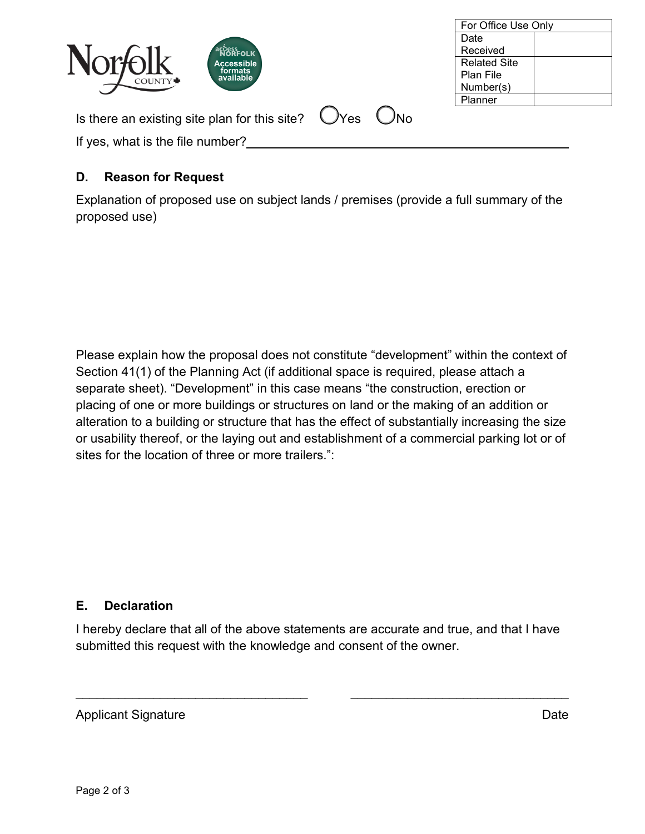|                                                                              | Date                |
|------------------------------------------------------------------------------|---------------------|
| Norfolk<br><b>acostFOLK</b>                                                  | Received            |
| <b>Accessible</b>                                                            | <b>Related Site</b> |
| formats<br>available                                                         | Plan File           |
|                                                                              | Number(s)           |
|                                                                              | Planner             |
| Is there an existing site plan for this site? $\bigcirc$ Yes<br>$\bigcup$ No |                     |
| If yes, what is the file number?                                             |                     |
|                                                                              |                     |

For Office Use Only

### **D. Reason for Request**

Explanation of proposed use on subject lands / premises (provide a full summary of the proposed use)

Please explain how the proposal does not constitute "development" within the context of Section 41(1) of the Planning Act (if additional space is required, please attach a separate sheet). "Development" in this case means "the construction, erection or placing of one or more buildings or structures on land or the making of an addition or alteration to a building or structure that has the effect of substantially increasing the size or usability thereof, or the laying out and establishment of a commercial parking lot or of sites for the location of three or more trailers.":

## **E. Declaration**

I hereby declare that all of the above statements are accurate and true, and that I have submitted this request with the knowledge and consent of the owner.

\_\_\_\_\_\_\_\_\_\_\_\_\_\_\_\_\_\_\_\_\_\_\_\_\_\_\_\_\_\_\_\_\_ \_\_\_\_\_\_\_\_\_\_\_\_\_\_\_\_\_\_\_\_\_\_\_\_\_\_\_\_\_\_\_

Applicant Signature Date Applicant Signature Date